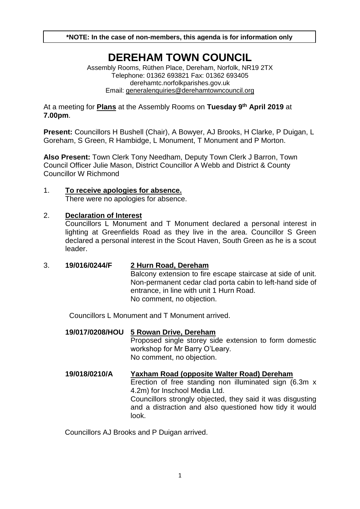**\*NOTE: In the case of non-members, this agenda is for information only**

# **DEREHAM TOWN COUNCIL**

Assembly Rooms, Rüthen Place, Dereham, Norfolk, NR19 2TX Telephone: 01362 693821 Fax: 01362 693405 derehamtc.norfolkparishes.gov.uk Email: [generalenquiries@derehamtowncouncil.org](mailto:generalenquiries@derehamtowncouncil.org)

At a meeting for **Plans** at the Assembly Rooms on **Tuesday 9 th April 2019** at **7.00pm**.

**Present:** Councillors H Bushell (Chair), A Bowyer, AJ Brooks, H Clarke, P Duigan, L Goreham, S Green, R Hambidge, L Monument, T Monument and P Morton.

**Also Present:** Town Clerk Tony Needham, Deputy Town Clerk J Barron, Town Council Officer Julie Mason, District Councillor A Webb and District & County Councillor W Richmond

#### 1. **To receive apologies for absence.**  There were no apologies for absence.

#### 2. **Declaration of Interest**

Councillors L Monument and T Monument declared a personal interest in lighting at Greenfields Road as they live in the area. Councillor S Green declared a personal interest in the Scout Haven, South Green as he is a scout leader.

3. **19/016/0244/F 2 Hurn Road, Dereham** Balcony extension to fire escape staircase at side of unit. Non-permanent cedar clad porta cabin to left-hand side of entrance, in line with unit 1 Hurn Road. No comment, no objection.

Councillors L Monument and T Monument arrived.

- **19/017/0208/HOU 5 Rowan Drive, Dereham** Proposed single storey side extension to form domestic workshop for Mr Barry O'Leary. No comment, no objection.
- **19/018/0210/A Yaxham Road (opposite Walter Road) Dereham** Erection of free standing non illuminated sign (6.3m x 4.2m) for Inschool Media Ltd. Councillors strongly objected, they said it was disgusting and a distraction and also questioned how tidy it would look.

Councillors AJ Brooks and P Duigan arrived.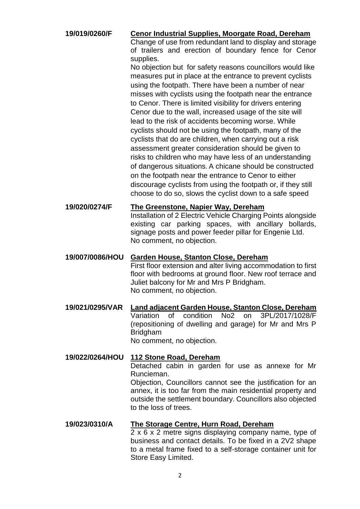**19/019/0260/F Cenor Industrial Supplies, Moorgate Road, Dereham**

Change of use from redundant land to display and storage of trailers and erection of boundary fence for Cenor supplies.

No objection but for safety reasons councillors would like measures put in place at the entrance to prevent cyclists using the footpath. There have been a number of near misses with cyclists using the footpath near the entrance to Cenor. There is limited visibility for drivers entering Cenor due to the wall, increased usage of the site will lead to the risk of accidents becoming worse. While cyclists should not be using the footpath, many of the cyclists that do are children, when carrying out a risk assessment greater consideration should be given to risks to children who may have less of an understanding of dangerous situations. A chicane should be constructed on the footpath near the entrance to Cenor to either discourage cyclists from using the footpath or, if they still choose to do so, slows the cyclist down to a safe speed

**19/020/0274/F The Greenstone, Napier Way, Dereham** Installation of 2 Electric Vehicle Charging Points alongside existing car parking spaces, with ancillary bollards, signage posts and power feeder pillar for Engenie Ltd. No comment, no objection.

#### **19/007/0086/HOU Garden House, Stanton Close, Dereham**

First floor extension and alter living accommodation to first floor with bedrooms at ground floor. New roof terrace and Juliet balcony for Mr and Mrs P Bridgham. No comment, no objection.

**19/021/0295/VAR Land adjacent Garden House, Stanton Close, Dereham** Variation of condition No2 on 3PL/2017/1028/F (repositioning of dwelling and garage) for Mr and Mrs P Bridgham No comment, no objection.

# **19/022/0264/HOU 112 Stone Road, Dereham** Detached cabin in garden for use as annexe for Mr Runcieman. Objection, Councillors cannot see the justification for an

annex, it is too far from the main residential property and outside the settlement boundary. Councillors also objected to the loss of trees.

### **19/023/0310/A The Storage Centre, Hurn Road, Dereham**

 $2 \times 6 \times 2$  metre signs displaying company name, type of business and contact details. To be fixed in a 2V2 shape to a metal frame fixed to a self-storage container unit for Store Easy Limited.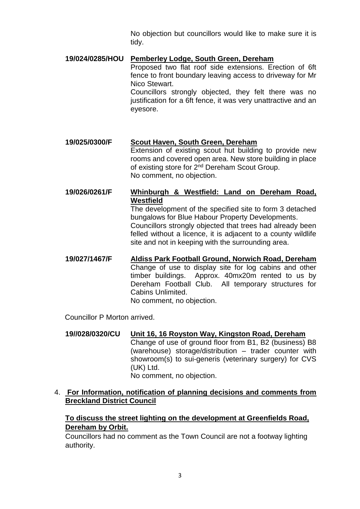No objection but councillors would like to make sure it is tidy.

#### **19/024/0285/HOU Pemberley Lodge, South Green, Dereham**

Proposed two flat roof side extensions. Erection of 6ft fence to front boundary leaving access to driveway for Mr Nico Stewart.

Councillors strongly objected, they felt there was no justification for a 6ft fence, it was very unattractive and an eyesore.

#### **19/025/0300/F Scout Haven, South Green, Dereham**

Extension of existing scout hut building to provide new rooms and covered open area. New store building in place of existing store for 2<sup>nd</sup> Dereham Scout Group. No comment, no objection.

**19/026/0261/F Whinburgh & Westfield: Land on Dereham Road, Westfield**

The development of the specified site to form 3 detached bungalows for Blue Habour Property Developments. Councillors strongly objected that trees had already been felled without a licence, it is adjacent to a county wildlife site and not in keeping with the surrounding area.

**19/027/1467/F Aldiss Park Football Ground, Norwich Road, Dereham** Change of use to display site for log cabins and other timber buildings. Approx. 40mx20m rented to us by Dereham Football Club. All temporary structures for Cabins Unlimited. No comment, no objection.

Councillor P Morton arrived.

**19//028/0320/CU Unit 16, 16 Royston Way, Kingston Road, Dereham** Change of use of ground floor from B1, B2 (business) B8 (warehouse) storage/distribution – trader counter with showroom(s) to sui-generis (veterinary surgery) for CVS (UK) Ltd. No comment, no objection.

#### 4. **For Information, notification of planning decisions and comments from Breckland District Council**

**To discuss the street lighting on the development at Greenfields Road, Dereham by Orbit.**

Councillors had no comment as the Town Council are not a footway lighting authority.